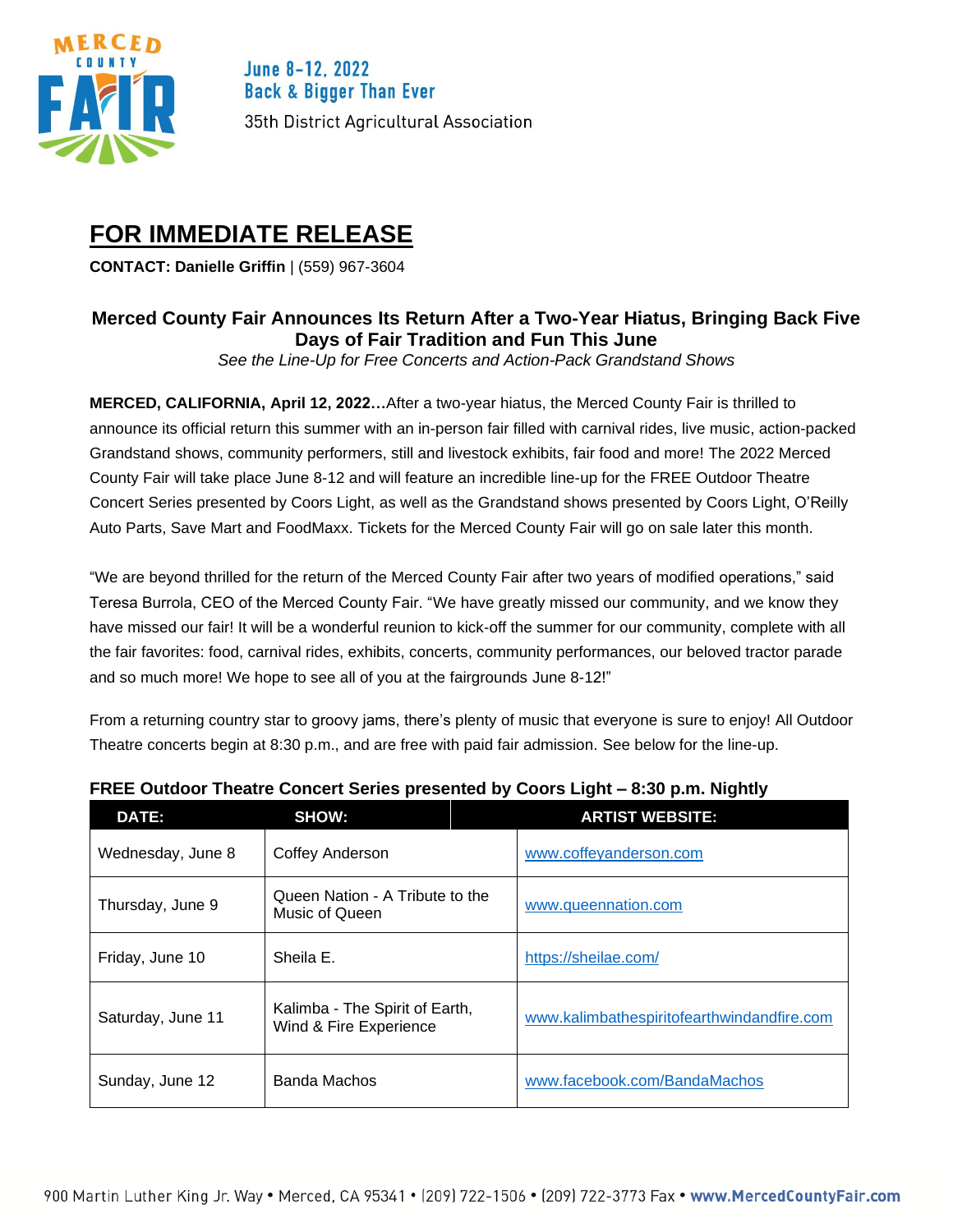

June 8-12, 2022 **Back & Bigger Than Ever** 35th District Agricultural Association

# **FOR IMMEDIATE RELEASE**

**CONTACT: Danielle Griffin** | (559) 967-3604

# **Merced County Fair Announces Its Return After a Two-Year Hiatus, Bringing Back Five Days of Fair Tradition and Fun This June**

*See the Line-Up for Free Concerts and Action-Pack Grandstand Shows*

**MERCED, CALIFORNIA, April 12, 2022…**After a two-year hiatus, the Merced County Fair is thrilled to announce its official return this summer with an in-person fair filled with carnival rides, live music, action-packed Grandstand shows, community performers, still and livestock exhibits, fair food and more! The 2022 Merced County Fair will take place June 8-12 and will feature an incredible line-up for the FREE Outdoor Theatre Concert Series presented by Coors Light, as well as the Grandstand shows presented by Coors Light, O'Reilly Auto Parts, Save Mart and FoodMaxx. Tickets for the Merced County Fair will go on sale later this month.

"We are beyond thrilled for the return of the Merced County Fair after two years of modified operations," said Teresa Burrola, CEO of the Merced County Fair. "We have greatly missed our community, and we know they have missed our fair! It will be a wonderful reunion to kick-off the summer for our community, complete with all the fair favorites: food, carnival rides, exhibits, concerts, community performances, our beloved tractor parade and so much more! We hope to see all of you at the fairgrounds June 8-12!"

From a returning country star to groovy jams, there's plenty of music that everyone is sure to enjoy! All Outdoor Theatre concerts begin at 8:30 p.m., and are free with paid fair admission. See below for the line-up.

| DATE:             | <b>SHOW:</b>                                             | .<br><b>ARTIST WEBSITE:</b>                |
|-------------------|----------------------------------------------------------|--------------------------------------------|
| Wednesday, June 8 | Coffey Anderson                                          | www.coffeyanderson.com                     |
| Thursday, June 9  | Queen Nation - A Tribute to the<br>Music of Queen        | www.queennation.com                        |
| Friday, June 10   | Sheila E.                                                | https://sheilae.com/                       |
| Saturday, June 11 | Kalimba - The Spirit of Earth,<br>Wind & Fire Experience | www.kalimbathespiritofearthwindandfire.com |
| Sunday, June 12   | Banda Machos                                             | www.facebook.com/BandaMachos               |

## **FREE Outdoor Theatre Concert Series presented by Coors Light – 8:30 p.m. Nightly**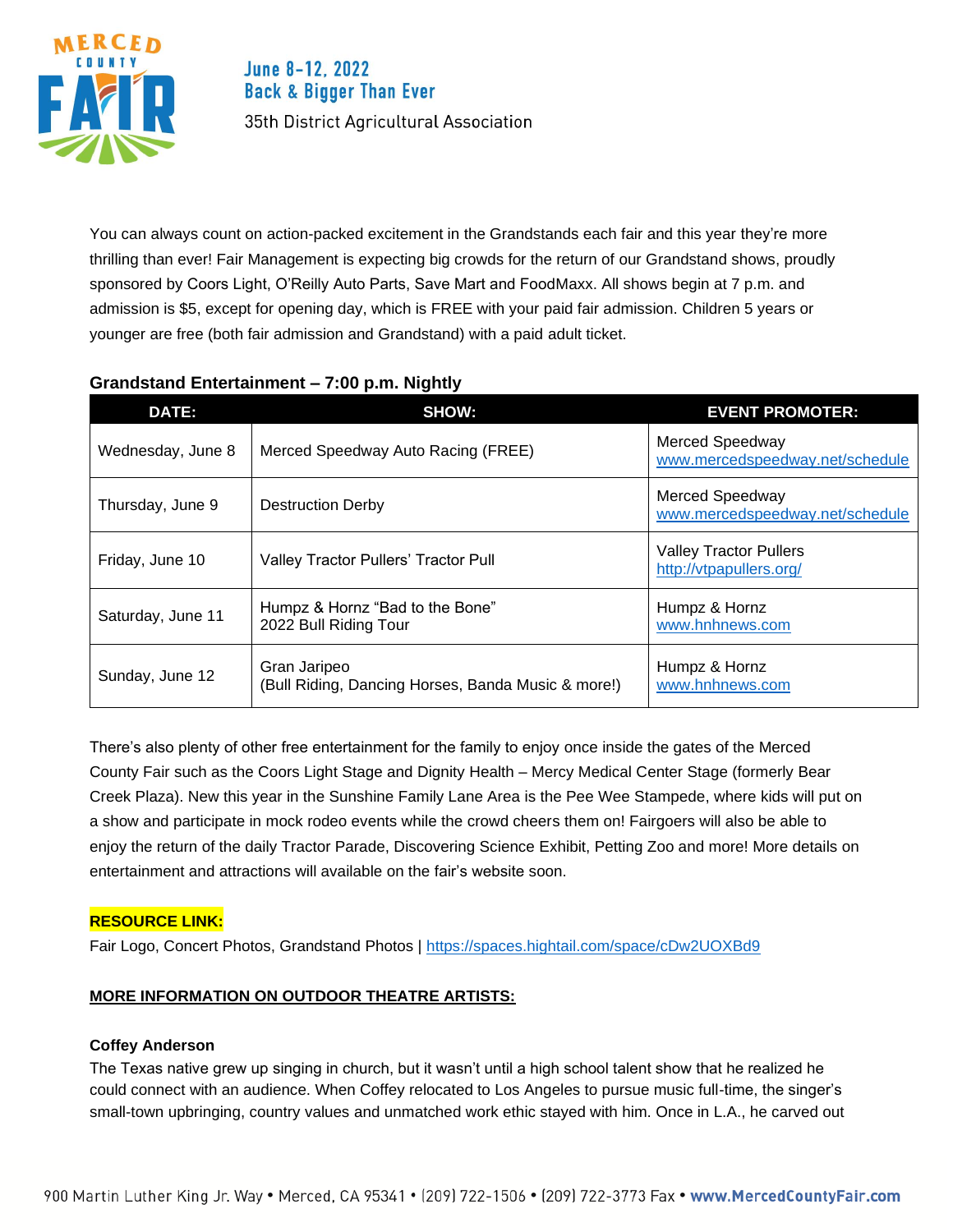

# June 8-12, 2022 **Back & Bigger Than Ever**

35th District Agricultural Association

You can always count on action-packed excitement in the Grandstands each fair and this year they're more thrilling than ever! Fair Management is expecting big crowds for the return of our Grandstand shows, proudly sponsored by Coors Light, O'Reilly Auto Parts, Save Mart and FoodMaxx. All shows begin at 7 p.m. and admission is \$5, except for opening day, which is FREE with your paid fair admission. Children 5 years or younger are free (both fair admission and Grandstand) with a paid adult ticket.

| <b>DATE:</b>      | <b>SHOW:</b>                                                       | <b>EVENT PROMOTER:</b>                                   |
|-------------------|--------------------------------------------------------------------|----------------------------------------------------------|
| Wednesday, June 8 | Merced Speedway Auto Racing (FREE)                                 | Merced Speedway<br>www.mercedspeedway.net/schedule       |
| Thursday, June 9  | <b>Destruction Derby</b>                                           | Merced Speedway<br>www.mercedspeedway.net/schedule       |
| Friday, June 10   | Valley Tractor Pullers' Tractor Pull                               | <b>Valley Tractor Pullers</b><br>http://vtpapullers.org/ |
| Saturday, June 11 | Humpz & Hornz "Bad to the Bone"<br>2022 Bull Riding Tour           | Humpz & Hornz<br>www.hnhnews.com                         |
| Sunday, June 12   | Gran Jaripeo<br>(Bull Riding, Dancing Horses, Banda Music & more!) | Humpz & Hornz<br>www.hnhnews.com                         |

# **Grandstand Entertainment – 7:00 p.m. Nightly**

There's also plenty of other free entertainment for the family to enjoy once inside the gates of the Merced County Fair such as the Coors Light Stage and Dignity Health – Mercy Medical Center Stage (formerly Bear Creek Plaza). New this year in the Sunshine Family Lane Area is the Pee Wee Stampede, where kids will put on a show and participate in mock rodeo events while the crowd cheers them on! Fairgoers will also be able to enjoy the return of the daily Tractor Parade, Discovering Science Exhibit, Petting Zoo and more! More details on entertainment and attractions will available on the fair's website soon.

## **RESOURCE LINK:**

Fair Logo, Concert Photos, Grandstand Photos |<https://spaces.hightail.com/space/cDw2UOXBd9>

## **MORE INFORMATION ON OUTDOOR THEATRE ARTISTS:**

#### **Coffey Anderson**

The Texas native grew up singing in church, but it wasn't until a high school talent show that he realized he could connect with an audience. When Coffey relocated to Los Angeles to pursue music full-time, the singer's small-town upbringing, country values and unmatched work ethic stayed with him. Once in L.A., he carved out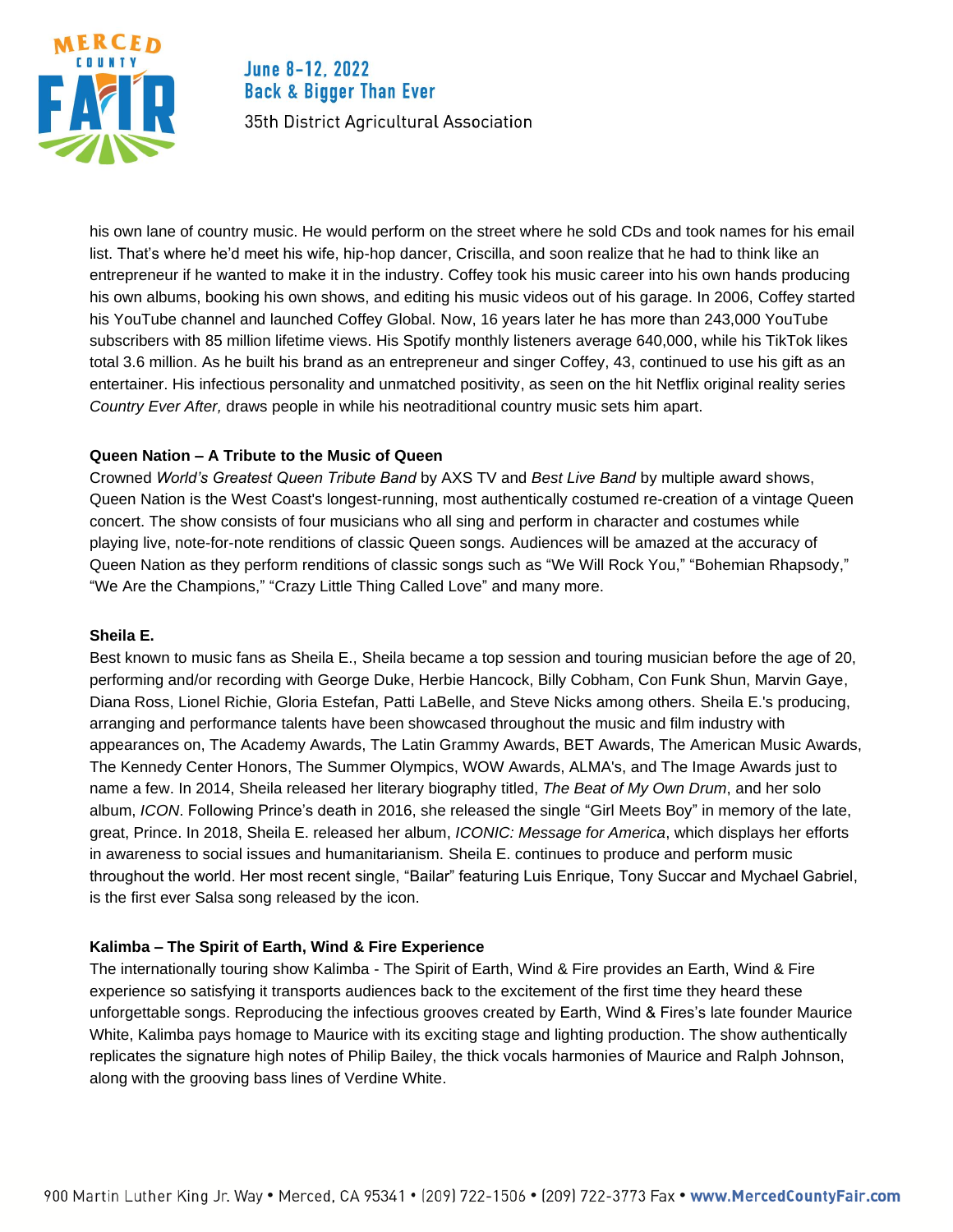

## June 8-12, 2022 **Back & Bigger Than Ever**

35th District Agricultural Association

his own lane of country music. He would perform on the street where he sold CDs and took names for his email list. That's where he'd meet his wife, hip-hop dancer, Criscilla, and soon realize that he had to think like an entrepreneur if he wanted to make it in the industry. Coffey took his music career into his own hands producing his own albums, booking his own shows, and editing his music videos out of his garage. In 2006, Coffey started his YouTube channel and launched Coffey Global. Now, 16 years later he has more than 243,000 YouTube subscribers with 85 million lifetime views. His Spotify monthly listeners average 640,000, while his TikTok likes total 3.6 million. As he built his brand as an entrepreneur and singer Coffey, 43, continued to use his gift as an entertainer. His infectious personality and unmatched positivity, as seen on the hit Netflix original reality series *Country Ever After,* draws people in while his neotraditional country music sets him apart.

#### **Queen Nation – A Tribute to the Music of Queen**

Crowned *World's Greatest Queen Tribute Band* by AXS TV and *Best Live Band* by multiple award shows, Queen Nation is the West Coast's longest-running, most authentically costumed re-creation of a vintage Queen concert. The show consists of four musicians who all sing and perform in character and costumes while playing live, note-for-note renditions of classic Queen songs*.* Audiences will be amazed at the accuracy of Queen Nation as they perform renditions of classic songs such as "We Will Rock You," "Bohemian Rhapsody," "We Are the Champions," "Crazy Little Thing Called Love" and many more.

#### **Sheila E.**

Best known to music fans as Sheila E., Sheila became a top session and touring musician before the age of 20, performing and/or recording with George Duke, Herbie Hancock, Billy Cobham, Con Funk Shun, Marvin Gaye, Diana Ross, Lionel Richie, Gloria Estefan, Patti LaBelle, and Steve Nicks among others. Sheila E.'s producing, arranging and performance talents have been showcased throughout the music and film industry with appearances on, The Academy Awards, The Latin Grammy Awards, BET Awards, The American Music Awards, The Kennedy Center Honors, The Summer Olympics, WOW Awards, ALMA's, and The Image Awards just to name a few. In 2014, Sheila released her literary biography titled, *The Beat of My Own Drum*, and her solo album, *ICON*. Following Prince's death in 2016, she released the single "Girl Meets Boy" in memory of the late, great, Prince. In 2018, Sheila E. released her album, *ICONIC: Message for America*, which displays her efforts in awareness to social issues and humanitarianism. Sheila E. continues to produce and perform music throughout the world. Her most recent single, "Bailar" featuring Luis Enrique, Tony Succar and Mychael Gabriel, is the first ever Salsa song released by the icon.

#### **Kalimba – The Spirit of Earth, Wind & Fire Experience**

The internationally touring show Kalimba - The Spirit of Earth, Wind & Fire provides an Earth, Wind & Fire experience so satisfying it transports audiences back to the excitement of the first time they heard these unforgettable songs. Reproducing the infectious grooves created by Earth, Wind & Fires's late founder Maurice White, Kalimba pays homage to Maurice with its exciting stage and lighting production. The show authentically replicates the signature high notes of Philip Bailey, the thick vocals harmonies of Maurice and Ralph Johnson, along with the grooving bass lines of Verdine White.